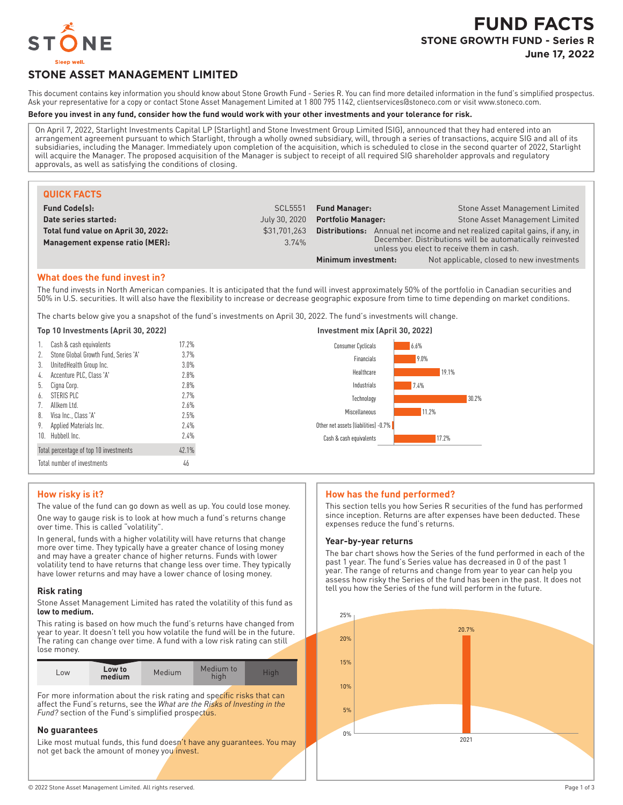

# **STONE ASSET MANAGEMENT LIMITED**

This document contains key information you should know about Stone Growth Fund - Series R. You can find more detailed information in the fund's simplified prospectus. Ask your representative for a copy or contact Stone Asset Management Limited at 1800 795 1142, clientservices@stoneco.com or visit www.stoneco.com.

## **Before you invest in any fund, consider how the fund would work with your other investments and your tolerance for risk.**

On April 7, 2022, Starlight Investments Capital LP (Starlight) and Stone Investment Group Limited (SIG), announced that they had entered into an arrangement agreement pursuant to which Starlight, through a wholly owned subsidiary, will, through a series of transactions, acquire SIG and all of its subsidiaries, including the Manager. Immediately upon completion of the acquisition, which is scheduled to close in the second quarter of 2022, Starlight will acquire the Manager. The proposed acquisition of the Manager is subject to receipt of all required SIG shareholder approvals and regulatory approvals, as well as satisfying the conditions of closing.

| <b>QUICK FACTS</b>                  |               |                                                                                                       |                                           |
|-------------------------------------|---------------|-------------------------------------------------------------------------------------------------------|-------------------------------------------|
| <b>Fund Code(s):</b>                | SCL5551       | <b>Fund Manager:</b>                                                                                  | Stone Asset Management Limited            |
| Date series started:                | July 30, 2020 | <b>Stone Asset Management Limited</b><br><b>Portfolio Manager:</b>                                    |                                           |
| Total fund value on April 30, 2022: | \$31.701.263  | Annual net income and net realized capital gains, if any, in<br>Distributions:                        |                                           |
| Management expense ratio (MER):     | 3.74%         | December. Distributions will be automatically reinvested<br>unless you elect to receive them in cash. |                                           |
|                                     |               | Minimum investment:                                                                                   | Not applicable, closed to new investments |

## **What does the fund invest in?**

The fund invests in North American companies. It is anticipated that the fund will invest approximately 50% of the portfolio in Canadian securities and 50% in U.S. securities. It will also have the flexibility to increase or decrease geographic exposure from time to time depending on market conditions.

The charts below give you a snapshot of the fund's investments on April 30, 2022. The fund's investments will change.

## **Top 10 Investments (April 30, 2022) Investment mix (April 30, 2022)**

| 1. Cash & cash equivalents              | 17.2%   | 6.6%<br><b>Consumer Cyclicals</b>    |
|-----------------------------------------|---------|--------------------------------------|
| 2. Stone Global Growth Fund, Series 'A' | 3.7%    | 9.0%<br>Financials                   |
| 3. UnitedHealth Group Inc.              | $3.0\%$ |                                      |
| 4. Accenture PLC, Class 'A'             | 2.8%    | 19.1%<br>Healthcare                  |
| 5. Cigna Corp.                          | 2.8%    | 7.4%<br>Industrials                  |
| 6. STERIS PLC                           | 2.7%    | 30.2%<br>Technology                  |
| 7. Allkem Ltd.                          | 2.6%    |                                      |
| 8. Visa Inc., Class 'A'                 | 2.5%    | 11.2%<br>Miscellaneous               |
| 9. Applied Materials Inc.               | 2.4%    | Other net assets (liabilities) -0.7% |
| 10. Hubbell Inc.                        | 2.4%    | 17.2%<br>Cash & cash equivalents     |
| Total percentage of top 10 investments  | 42.1%   |                                      |
| Total number of investments             | 46      |                                      |

# **How risky is it?**

The value of the fund can go down as well as up. You could lose money. One way to gauge risk is to look at how much a fund's returns change over time. This is called "volatility".

In general, funds with a higher volatility will have returns that change more over time. They typically have a greater chance of losing money and may have a greater chance of higher returns. Funds with lower volatility tend to have returns that change less over time. They typically have lower returns and may have a lower chance of losing money.

## **Risk rating**

Stone Asset Management Limited has rated the volatility of this fund as **low to medium.**

This rating is based on how much the fund's returns have changed from year to year. It doesn't tell you how volatile the fund will be in the future. The rating can change over time. A fund with a low risk rating can still lose money.

| LOW | Low to<br>medium | Medium | Medium to |  |
|-----|------------------|--------|-----------|--|

For more information about the risk rating and specific risks that can affect the Fund's returns, see the *What are the Risks of Investing in the Fund?* section of the Fund's simplified prospectus.

# **No guarantees**

Like most mutual funds, this fund doesn't have any guarantees. You may not get back the amount of money you invest.

## **How has the fund performed?**

This section tells you how Series R securities of the fund has performed since inception. Returns are after expenses have been deducted. These expenses reduce the fund's returns.

## **Year-by-year returns**

The bar chart shows how the Series of the fund performed in each of the past 1 year. The fund's Series value has decreased in 0 of the past 1 year. The range of returns and change from year to year can help you assess how risky the Series of the fund has been in the past. It does not tell you how the Series of the fund will perform in the future.

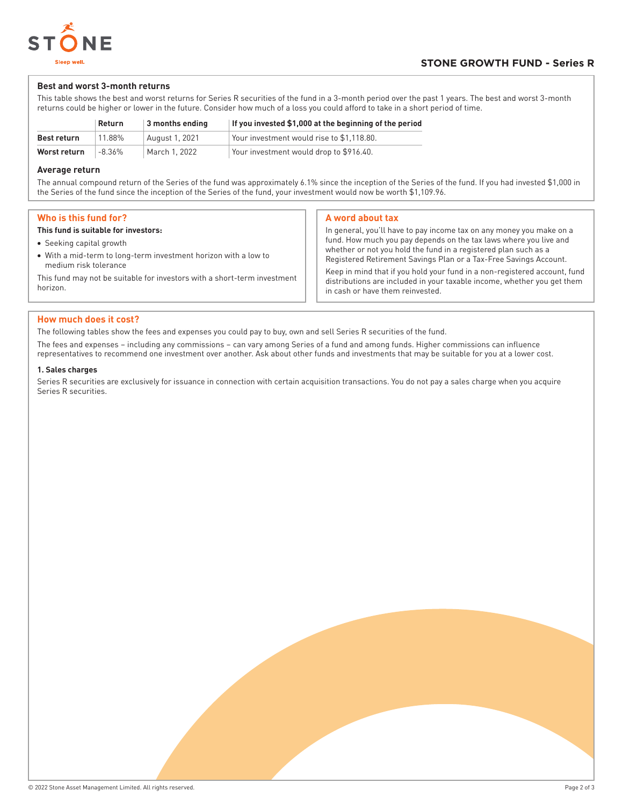

# **Best and worst 3-month returns**

This table shows the best and worst returns for Series R securities of the fund in a 3-month period over the past 1 years. The best and worst 3-month returns could be higher or lower in the future. Consider how much of a loss you could afford to take in a short period of time.

|              | Return | 3 months ending | If you invested \$1,000 at the beginning of the period |
|--------------|--------|-----------------|--------------------------------------------------------|
| Best return  | 11.88% | August 1, 2021  | Your investment would rise to \$1.118.80.              |
| Worst return | -8.36% | March 1, 2022   | Your investment would drop to \$916.40.                |

# **Average return**

The annual compound return of the Series of the fund was approximately 6.1% since the inception of the Series of the fund. If you had invested \$1,000 in the Series of the fund since the inception of the Series of the fund, your investment would now be worth \$1,109.96.

# **Who is this fund for?**

## **This fund is suitable for investors:**

- Seeking capital growth
- With a mid-term to long-term investment horizon with a low to medium risk tolerance

This fund may not be suitable for investors with a short-term investment horizon.

## **A word about tax**

In general, you'll have to pay income tax on any money you make on a fund. How much you pay depends on the tax laws where you live and whether or not you hold the fund in a registered plan such as a Registered Retirement Savings Plan or a Tax-Free Savings Account. Keep in mind that if you hold your fund in a non-registered account, fund distributions are included in your taxable income, whether you get them in cash or have them reinvested.

# **How much does it cost?**

The following tables show the fees and expenses you could pay to buy, own and sell Series R securities of the fund.

The fees and expenses – including any commissions – can vary among Series of a fund and among funds. Higher commissions can influence representatives to recommend one investment over another. Ask about other funds and investments that may be suitable for you at a lower cost.

## **1. Sales charges**

Series R securities are exclusively for issuance in connection with certain acquisition transactions. You do not pay a sales charge when you acquire Series R securities.